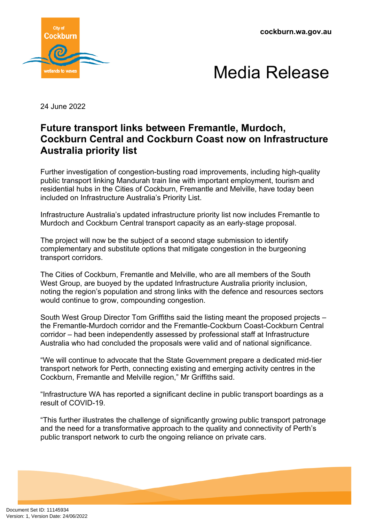**cockburn.wa.gov.au**





24 June 2022

## **Future transport links between Fremantle, Murdoch, Cockburn Central and Cockburn Coast now on Infrastructure Australia priority list**

Further investigation of congestion-busting road improvements, including high-quality public transport linking Mandurah train line with important employment, tourism and residential hubs in the Cities of Cockburn, Fremantle and Melville, have today been included on Infrastructure Australia's Priority List.

Infrastructure Australia's updated infrastructure priority list now includes Fremantle to Murdoch and Cockburn Central transport capacity as an early-stage proposal.

The project will now be the subject of a second stage submission to identify complementary and substitute options that mitigate congestion in the burgeoning transport corridors.

The Cities of Cockburn, Fremantle and Melville, who are all members of the South West Group, are buoved by the updated Infrastructure Australia priority inclusion, noting the region's population and strong links with the defence and resources sectors would continue to grow, compounding congestion.

South West Group Director Tom Griffiths said the listing meant the proposed projects – the Fremantle-Murdoch corridor and the Fremantle-Cockburn Coast-Cockburn Central corridor – had been independently assessed by professional staff at Infrastructure Australia who had concluded the proposals were valid and of national significance.

"We will continue to advocate that the State Government prepare a dedicated mid-tier transport network for Perth, connecting existing and emerging activity centres in the Cockburn, Fremantle and Melville region," Mr Griffiths said.

"Infrastructure WA has reported a significant decline in public transport boardings as a result of COVID-19.

"This further illustrates the challenge of significantly growing public transport patronage and the need for a transformative approach to the quality and connectivity of Perth's public transport network to curb the ongoing reliance on private cars.